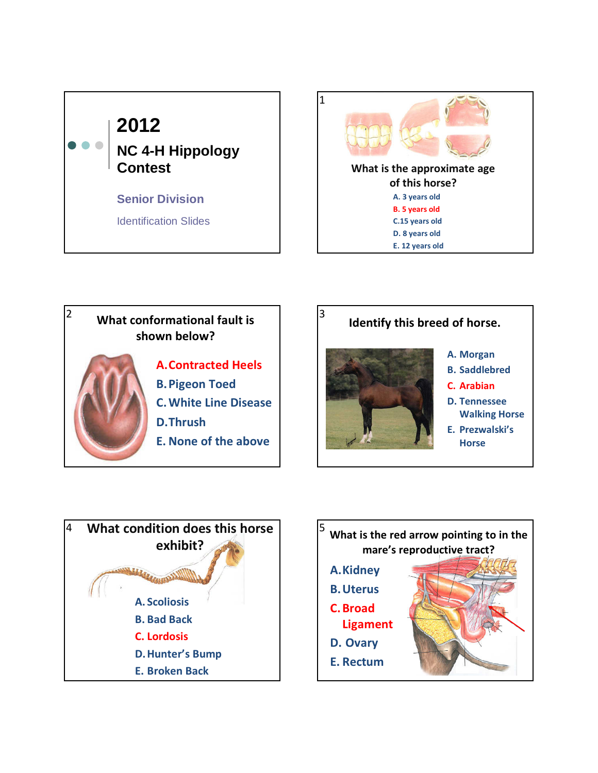









3

- A. Morgan
- B. Saddlebred
- C. Arabian
- D. Tennessee Walking Horse
- E. Prezwalski's **Horse**



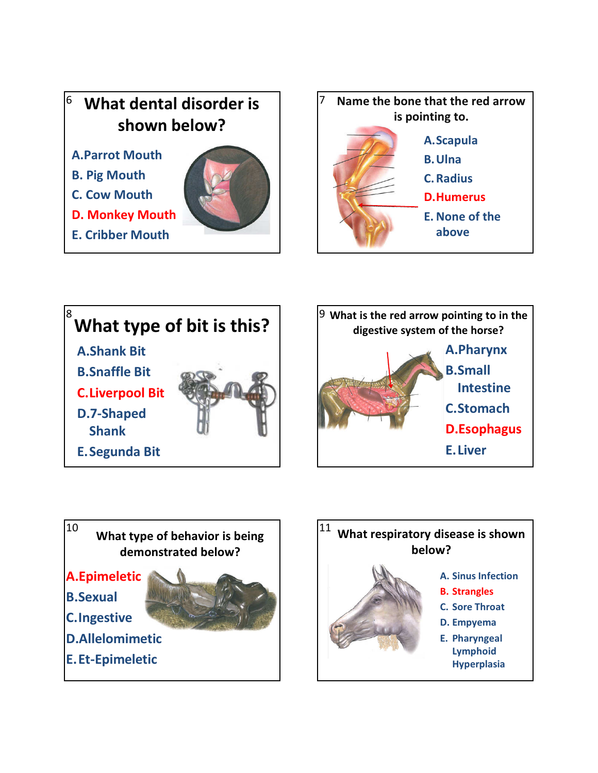## shown below?

- A.Parrot Mouth
- B. Pig Mouth
- C. Cow Mouth
- D. Monkey Mouth
- E. Cribber Mouth











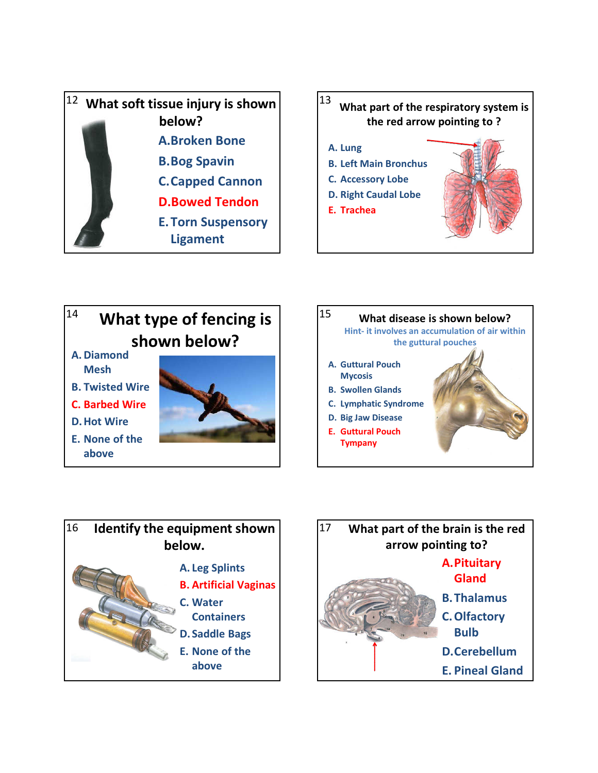









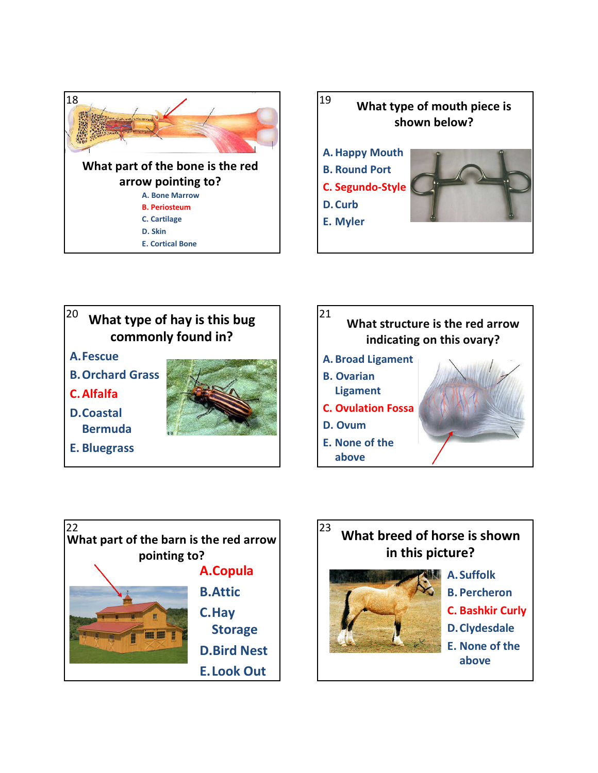









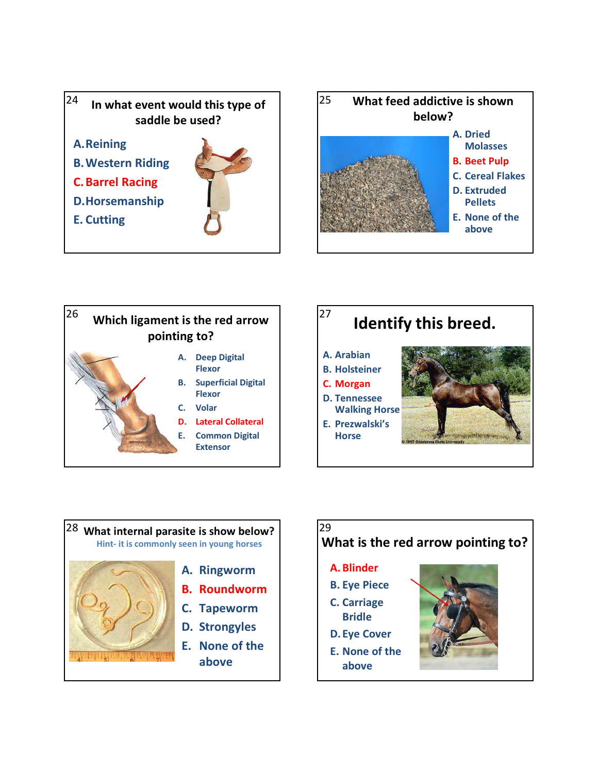











- Bridle
- D. Eye Cover
- E. None of the above

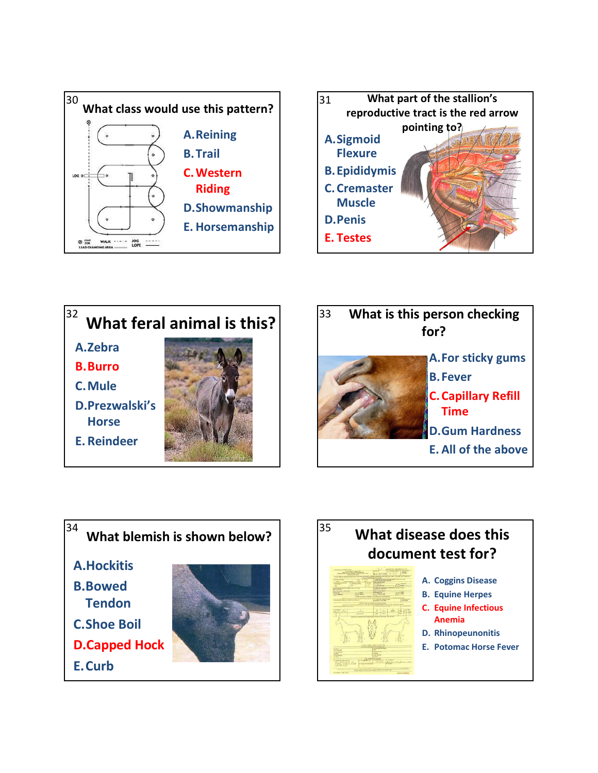







A.Hockitis

- B.Bowed **Tendon**
- C.Shoe Boil
- 
- D.Capped Hock
- E.Curb



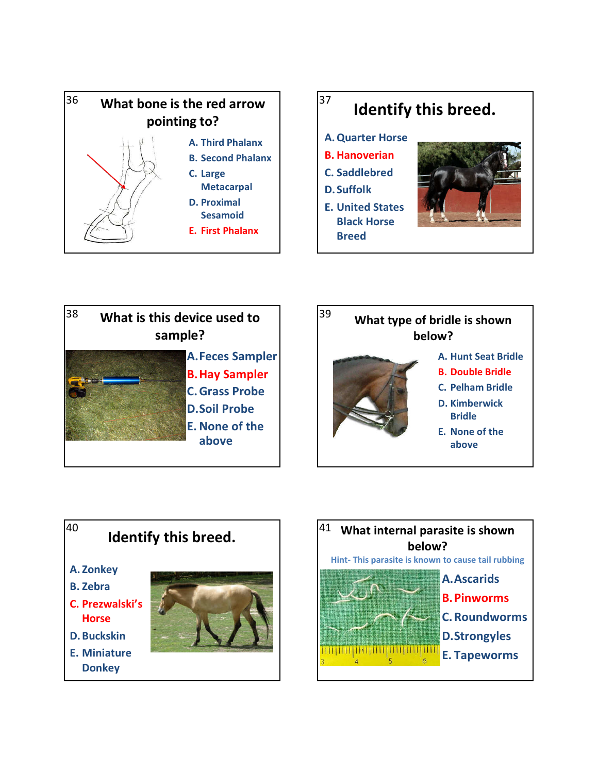









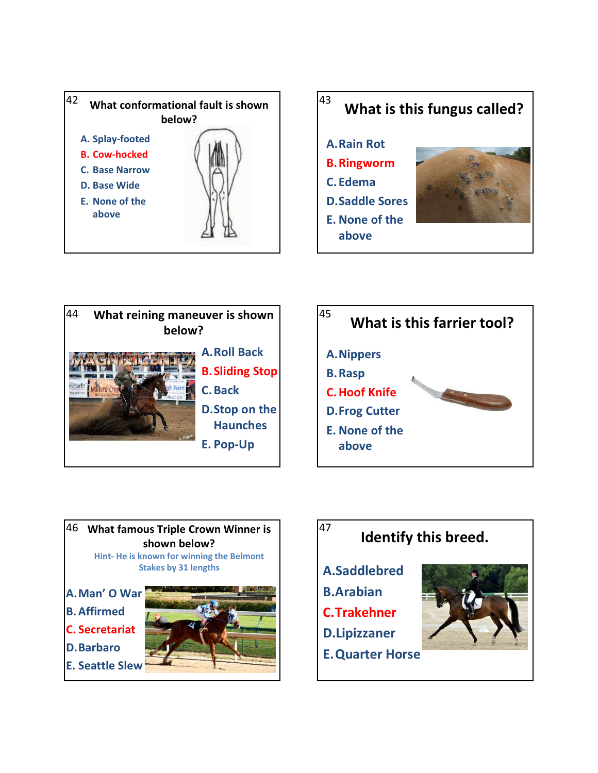